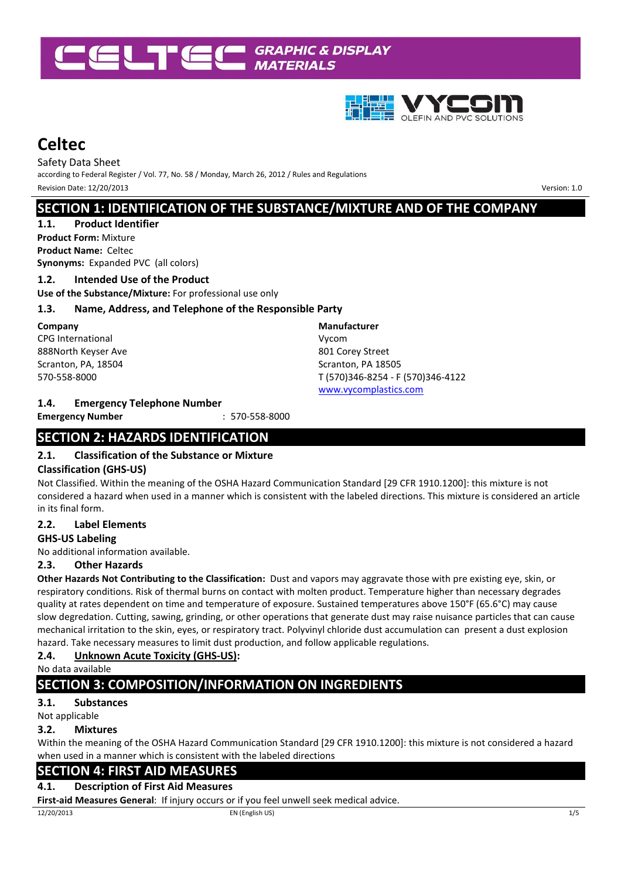



Safety Data Sheet according to Federal Register / Vol. 77, No. 58 / Monday, March 26, 2012 / Rules and Regulations Revision Date: 12/20/2013Version: 1.0

# **SECTION 1: IDENTIFICATION OF THE SUBSTANCE/MIXTURE AND OF THE COMPANY**

#### **1.1. Product Identifier Product Form:** Mixture

**Product Name:** Celtec **Synonyms:** Expanded PVC (all colors)

### **1.2. Intended Use of the Product**

**Use of the Substance/Mixture:** For professional use only

# **1.3. Name, Address, and Telephone of the Responsible Party**

**Company** CPG International 888North Keyser Ave Scranton, PA, 18504 570-558-8000

# **1.4. Emergency Telephone Number**

**Emergency Number** : 570-558-8000

# **SECTION 2: HAZARDS IDENTIFICATION**

# **2.1. Classification of the Substance or Mixture**

# **Classification (GHS-US)**

Not Classified. Within the meaning of the OSHA Hazard Communication Standard [29 CFR 1910.1200]: this mixture is not considered a hazard when used in a manner which is consistent with the labeled directions. This mixture is considered an article in its final form.

**Manufacturer**  Vycom

801 Corey Street Scranton, PA 18505

T (570)346-8254 - F (570)346-4122

www.vycomplastics.com

# **2.2. Label Elements**

### **GHS-US Labeling**

No additional information available.

### **2.3. Other Hazards**

**Other Hazards Not Contributing to the Classification:** Dust and vapors may aggravate those with pre existing eye, skin, or respiratory conditions. Risk of thermal burns on contact with molten product. Temperature higher than necessary degrades quality at rates dependent on time and temperature of exposure. Sustained temperatures above 150°F (65.6°C) may cause slow degredation. Cutting, sawing, grinding, or other operations that generate dust may raise nuisance particles that can cause mechanical irritation to the skin, eyes, or respiratory tract. Polyvinyl chloride dust accumulation can present a dust explosion hazard. Take necessary measures to limit dust production, and follow applicable regulations.

# **2.4. Unknown Acute Toxicity (GHS-US):**

No data available

# **SECTION 3: COMPOSITION/INFORMATION ON INGREDIENTS**

# **3.1. Substances**

Not applicable

### **3.2. Mixtures**

Within the meaning of the OSHA Hazard Communication Standard [29 CFR 1910.1200]: this mixture is not considered a hazard when used in a manner which is consistent with the labeled directions

# **SECTION 4: FIRST AID MEASURES**

# **4.1. Description of First Aid Measures**

**First-aid Measures General**: If injury occurs or if you feel unwell seek medical advice.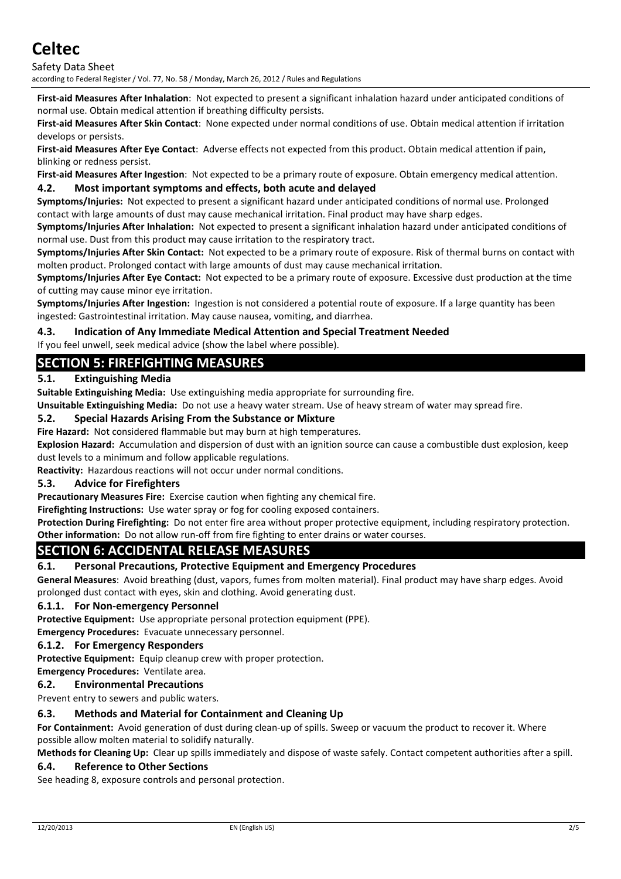Safety Data Sheet according to Federal Register / Vol. 77, No. 58 / Monday, March 26, 2012 / Rules and Regulations

**First-aid Measures After Inhalation**: Not expected to present a significant inhalation hazard under anticipated conditions of normal use. Obtain medical attention if breathing difficulty persists.

**First-aid Measures After Skin Contact**: None expected under normal conditions of use. Obtain medical attention if irritation develops or persists.

**First-aid Measures After Eye Contact**: Adverse effects not expected from this product. Obtain medical attention if pain, blinking or redness persist.

**First-aid Measures After Ingestion**: Not expected to be a primary route of exposure. Obtain emergency medical attention.

### **4.2. Most important symptoms and effects, both acute and delayed**

**Symptoms/Injuries:** Not expected to present a significant hazard under anticipated conditions of normal use. Prolonged contact with large amounts of dust may cause mechanical irritation. Final product may have sharp edges.

**Symptoms/Injuries After Inhalation:** Not expected to present a significant inhalation hazard under anticipated conditions of normal use. Dust from this product may cause irritation to the respiratory tract.

**Symptoms/Injuries After Skin Contact:** Not expected to be a primary route of exposure. Risk of thermal burns on contact with molten product. Prolonged contact with large amounts of dust may cause mechanical irritation.

**Symptoms/Injuries After Eye Contact:** Not expected to be a primary route of exposure. Excessive dust production at the time of cutting may cause minor eye irritation.

**Symptoms/Injuries After Ingestion:** Ingestion is not considered a potential route of exposure. If a large quantity has been ingested: Gastrointestinal irritation. May cause nausea, vomiting, and diarrhea.

### **4.3. Indication of Any Immediate Medical Attention and Special Treatment Needed**

If you feel unwell, seek medical advice (show the label where possible).

### **SECTION 5: FIREFIGHTING MEASURES**

### **5.1. Extinguishing Media**

**Suitable Extinguishing Media:** Use extinguishing media appropriate for surrounding fire.

**Unsuitable Extinguishing Media:** Do not use a heavy water stream. Use of heavy stream of water may spread fire.

#### **5.2. Special Hazards Arising From the Substance or Mixture**

**Fire Hazard:** Not considered flammable but may burn at high temperatures.

**Explosion Hazard:** Accumulation and dispersion of dust with an ignition source can cause a combustible dust explosion, keep dust levels to a minimum and follow applicable regulations.

**Reactivity:** Hazardous reactions will not occur under normal conditions.

### **5.3. Advice for Firefighters**

**Precautionary Measures Fire:** Exercise caution when fighting any chemical fire.

**Firefighting Instructions:** Use water spray or fog for cooling exposed containers.

**Protection During Firefighting:** Do not enter fire area without proper protective equipment, including respiratory protection. **Other information:** Do not allow run-off from fire fighting to enter drains or water courses.

# **SECTION 6: ACCIDENTAL RELEASE MEASURES**

### **6.1. Personal Precautions, Protective Equipment and Emergency Procedures**

**General Measures**: Avoid breathing (dust, vapors, fumes from molten material). Final product may have sharp edges. Avoid prolonged dust contact with eyes, skin and clothing. Avoid generating dust.

### **6.1.1. For Non-emergency Personnel**

**Protective Equipment:** Use appropriate personal protection equipment (PPE).

**Emergency Procedures:** Evacuate unnecessary personnel.

#### **6.1.2. For Emergency Responders**

**Protective Equipment:** Equip cleanup crew with proper protection.

**Emergency Procedures:** Ventilate area.

### **6.2. Environmental Precautions**

Prevent entry to sewers and public waters.

### **6.3. Methods and Material for Containment and Cleaning Up**

**For Containment:** Avoid generation of dust during clean-up of spills. Sweep or vacuum the product to recover it. Where possible allow molten material to solidify naturally.

**Methods for Cleaning Up:** Clear up spills immediately and dispose of waste safely. Contact competent authorities after a spill.

### **6.4. Reference to Other Sections**

See heading 8, exposure controls and personal protection.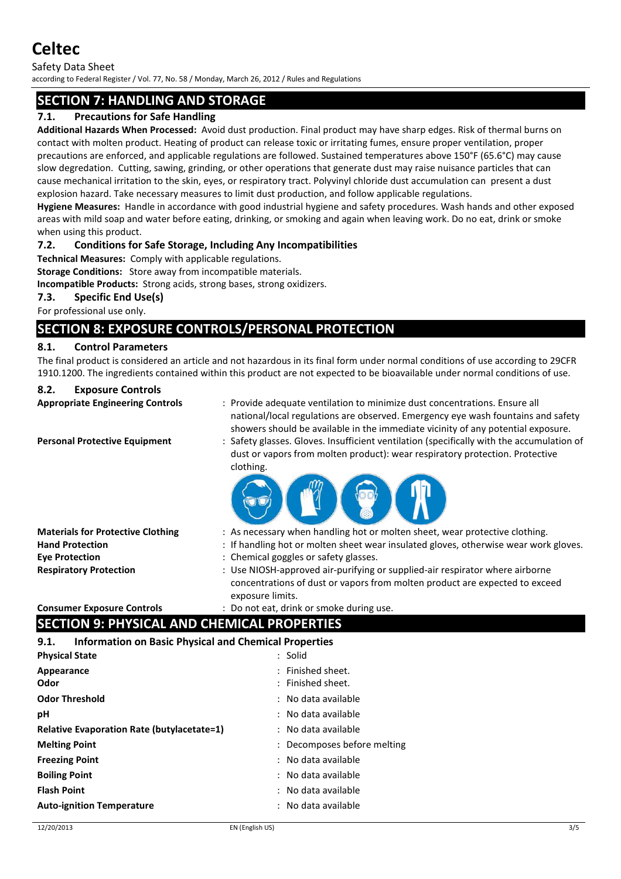Safety Data Sheet

according to Federal Register / Vol. 77, No. 58 / Monday, March 26, 2012 / Rules and Regulations

# **SECTION 7: HANDLING AND STORAGE**

### **7.1. Precautions for Safe Handling**

**Additional Hazards When Processed:** Avoid dust production. Final product may have sharp edges. Risk of thermal burns on contact with molten product. Heating of product can release toxic or irritating fumes, ensure proper ventilation, proper precautions are enforced, and applicable regulations are followed. Sustained temperatures above 150°F (65.6°C) may cause slow degredation. Cutting, sawing, grinding, or other operations that generate dust may raise nuisance particles that can cause mechanical irritation to the skin, eyes, or respiratory tract. Polyvinyl chloride dust accumulation can present a dust explosion hazard. Take necessary measures to limit dust production, and follow applicable regulations.

**Hygiene Measures:** Handle in accordance with good industrial hygiene and safety procedures. Wash hands and other exposed areas with mild soap and water before eating, drinking, or smoking and again when leaving work. Do no eat, drink or smoke when using this product.

### **7.2. Conditions for Safe Storage, Including Any Incompatibilities**

**Technical Measures:** Comply with applicable regulations.

**Storage Conditions:** Store away from incompatible materials.

**Incompatible Products:** Strong acids, strong bases, strong oxidizers.

### **7.3. Specific End Use(s)**

For professional use only.

# **SECTION 8: EXPOSURE CONTROLS/PERSONAL PROTECTION**

### **8.1. Control Parameters**

The final product is considered an article and not hazardous in its final form under normal conditions of use according to 29CFR 1910.1200. The ingredients contained within this product are not expected to be bioavailable under normal conditions of use.

### **8.2. Exposure Controls**

- **Appropriate Engineering Controls** : Provide adequate ventilation to minimize dust concentrations. Ensure all national/local regulations are observed. Emergency eye wash fountains and safety showers should be available in the immediate vicinity of any potential exposure. **Personal Protective Equipment** : Safety glasses. Gloves. Insufficient ventilation (specifically with the accumulation of
	- dust or vapors from molten product): wear respiratory protection. Protective clothing.



- **Materials for Protective Clothing** : As necessary when handling hot or molten sheet, wear protective clothing. **Hand Protection** : If handling hot or molten sheet wear insulated gloves, otherwise wear work gloves.
- **Eye Protection** : Chemical goggles or safety glasses.
- **Respiratory Protection** : Use NIOSH-approved air-purifying or supplied-air respirator where airborne concentrations of dust or vapors from molten product are expected to exceed exposure limits.

**Consumer Exposure Controls** : Do not eat, drink or smoke during use.

# **SECTION 9: PHYSICAL AND CHEMICAL PROPERTIES**

**9.1. Information on Basic Physical and Chemical Properties** 

| <b>Physical State</b>                             | : Solid                     |
|---------------------------------------------------|-----------------------------|
| Appearance                                        | : Finished sheet.           |
| Odor                                              | : Finished sheet.           |
| <b>Odor Threshold</b>                             | : No data available         |
| рH                                                | : No data available         |
| <b>Relative Evaporation Rate (butylacetate=1)</b> | : No data available         |
| <b>Melting Point</b>                              | : Decomposes before melting |
| <b>Freezing Point</b>                             | : No data available         |
| <b>Boiling Point</b>                              | : No data available         |
| <b>Flash Point</b>                                | : No data available         |
| <b>Auto-ignition Temperature</b>                  | : No data available         |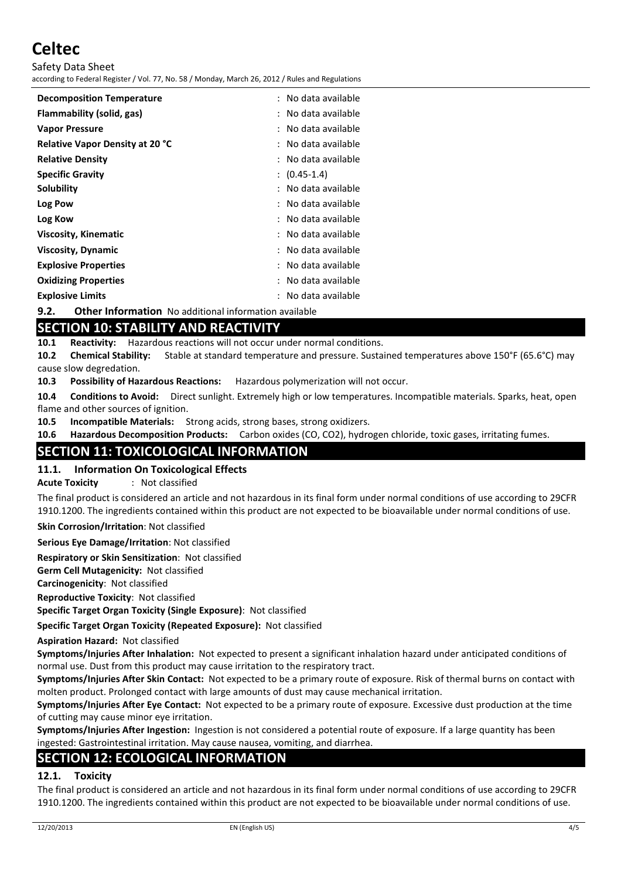Safety Data Sheet according to Federal Register / Vol. 77, No. 58 / Monday, March 26, 2012 / Rules and Regulations

| <b>Decomposition Temperature</b> | : No data available |
|----------------------------------|---------------------|
| Flammability (solid, gas)        | No data available   |
| <b>Vapor Pressure</b>            | : No data available |
| Relative Vapor Density at 20 °C  | : No data available |
| <b>Relative Density</b>          | No data available   |
| <b>Specific Gravity</b>          | $(0.45-1.4)$        |
| Solubility                       | No data available   |
| Log Pow                          | : No data available |
| Log Kow                          | : No data available |
| <b>Viscosity, Kinematic</b>      | : No data available |
| <b>Viscosity, Dynamic</b>        | No data available   |
| <b>Explosive Properties</b>      | No data available   |
| <b>Oxidizing Properties</b>      | No data available   |
| <b>Explosive Limits</b>          | No data available   |
|                                  |                     |

# **9.2. Other Information** No additional information available

# **SECTION 10: STABILITY AND REACTIVITY**

**10.1 Reactivity:** Hazardous reactions will not occur under normal conditions.

**10.2 Chemical Stability:** Stable at standard temperature and pressure. Sustained temperatures above 150°F (65.6°C) may cause slow degredation.

**10.3 Possibility of Hazardous Reactions:** Hazardous polymerization will not occur.

**10.4 Conditions to Avoid:** Direct sunlight. Extremely high or low temperatures. Incompatible materials. Sparks, heat, open flame and other sources of ignition.

**10.5 Incompatible Materials:** Strong acids, strong bases, strong oxidizers.

**10.6 Hazardous Decomposition Products:** Carbon oxides (CO, CO2), hydrogen chloride, toxic gases, irritating fumes.

# **SECTION 11: TOXICOLOGICAL INFORMATION**

### **11.1. Information On Toxicological Effects**

**Acute Toxicity** : Not classified

The final product is considered an article and not hazardous in its final form under normal conditions of use according to 29CFR 1910.1200. The ingredients contained within this product are not expected to be bioavailable under normal conditions of use.

**Skin Corrosion/Irritation**: Not classified

**Serious Eye Damage/Irritation**: Not classified

**Respiratory or Skin Sensitization**: Not classified

**Germ Cell Mutagenicity:** Not classified

**Carcinogenicity**: Not classified

**Reproductive Toxicity**: Not classified

**Specific Target Organ Toxicity (Single Exposure)**: Not classified

**Specific Target Organ Toxicity (Repeated Exposure):** Not classified

**Aspiration Hazard:** Not classified

**Symptoms/Injuries After Inhalation:** Not expected to present a significant inhalation hazard under anticipated conditions of normal use. Dust from this product may cause irritation to the respiratory tract.

**Symptoms/Injuries After Skin Contact:** Not expected to be a primary route of exposure. Risk of thermal burns on contact with molten product. Prolonged contact with large amounts of dust may cause mechanical irritation.

**Symptoms/Injuries After Eye Contact:** Not expected to be a primary route of exposure. Excessive dust production at the time of cutting may cause minor eye irritation.

**Symptoms/Injuries After Ingestion:** Ingestion is not considered a potential route of exposure. If a large quantity has been ingested: Gastrointestinal irritation. May cause nausea, vomiting, and diarrhea.

# **SECTION 12: ECOLOGICAL INFORMATION**

### **12.1. Toxicity**

The final product is considered an article and not hazardous in its final form under normal conditions of use according to 29CFR 1910.1200. The ingredients contained within this product are not expected to be bioavailable under normal conditions of use.